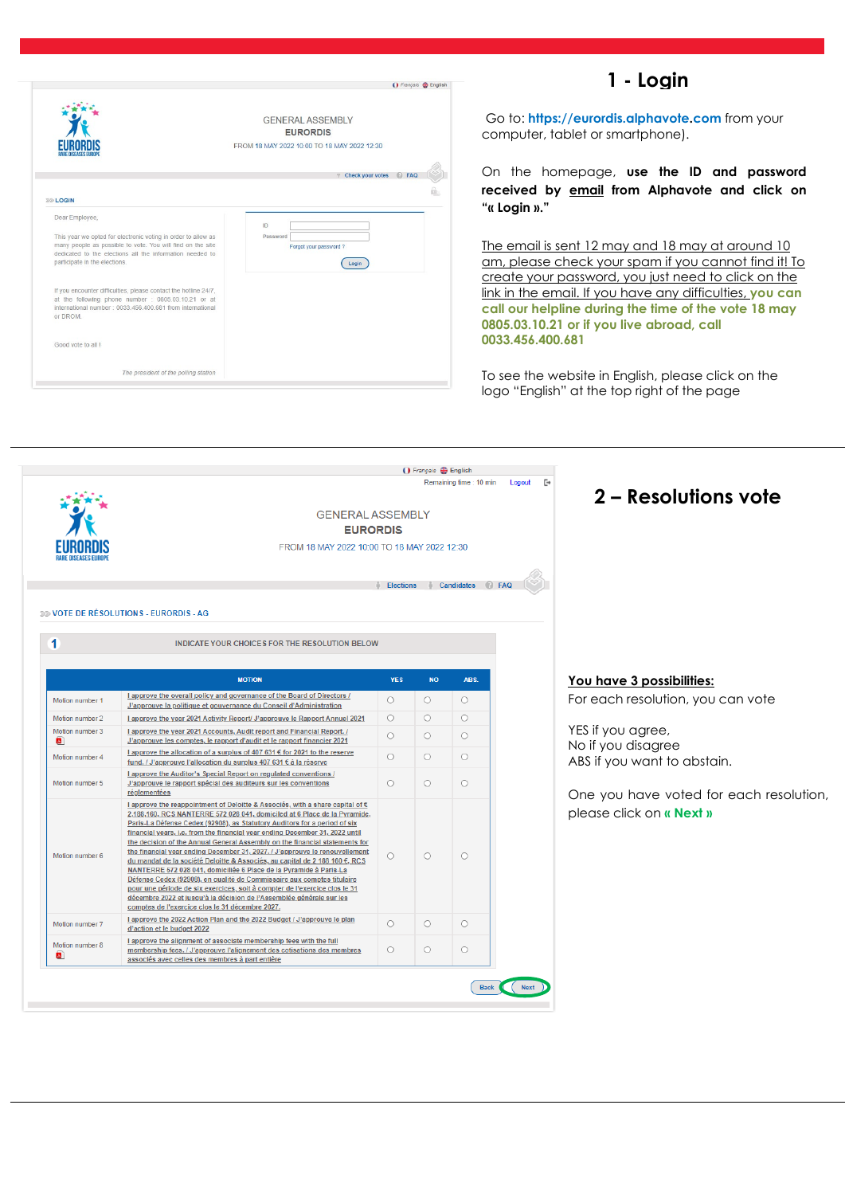### **1 - Login**

|                                                                                                                                                                                                                                            | () Français <b>←</b> English                                                              |
|--------------------------------------------------------------------------------------------------------------------------------------------------------------------------------------------------------------------------------------------|-------------------------------------------------------------------------------------------|
|                                                                                                                                                                                                                                            | <b>GENERAL ASSEMBLY</b><br><b>EURORDIS</b><br>FROM 18 MAY 2022 10:00 TO 18 MAY 2022 12:30 |
|                                                                                                                                                                                                                                            | <b>F</b> Check your votes<br>C FAQ                                                        |
| <b>39 LOGIN</b>                                                                                                                                                                                                                            |                                                                                           |
| Dear Employee,<br>This year we opted for electronic voting in order to allow as<br>many people as possible to vote. You will find on the site<br>dedicated to the elections all the information needed to<br>participate in the elections. | ID<br>Password<br>Forgot your password?<br>Login                                          |
| If you encounter difficulties, please contact the hotline 24/7,<br>at the following phone number : 0805.03.10.21 or at<br>international number: 0033 456 400 681 from international<br>or DROM.                                            |                                                                                           |
| Good vote to all I                                                                                                                                                                                                                         |                                                                                           |
| The president of the polling station                                                                                                                                                                                                       |                                                                                           |

Go to: **https://eurordis.alphavote.com** from your computer, tablet or smartphone).

On the homepage, **use the ID and password received by email from Alphavote and click on "« Login »."**

The email is sent 12 may and 18 may at around 10 am, please check your spam if you cannot find it! To create your password, you just need to click on the link in the email. If you have any difficulties, **you can call our helpline during the time of the vote 18 may 0805.03.10.21 or if you live abroad, call 0033.456.400.681**

To see the website in English, please click on the logo "English" at the top right of the page

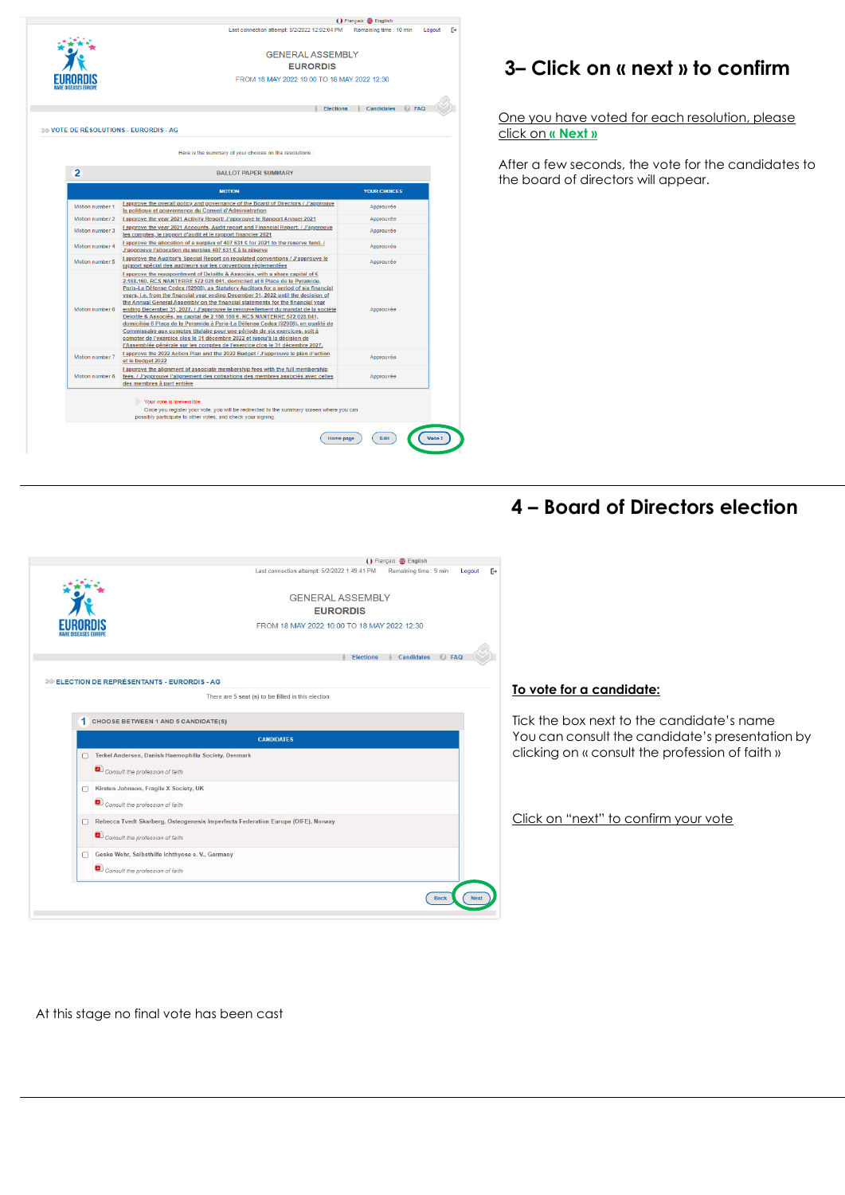

# **3– Click on « next » to confirm**

One you have voted for each resolution, please click on **« Next »**

After a few seconds, the vote for the candidates to the board of directors will appear.

## **4 – Board of Directors election**



#### **To vote for a candidate:**

Tick the box next to the candidate's name You can consult the candidate's presentation by clicking on « consult the profession of faith »

Click on "next" to confirm your vote

At this stage no final vote has been cast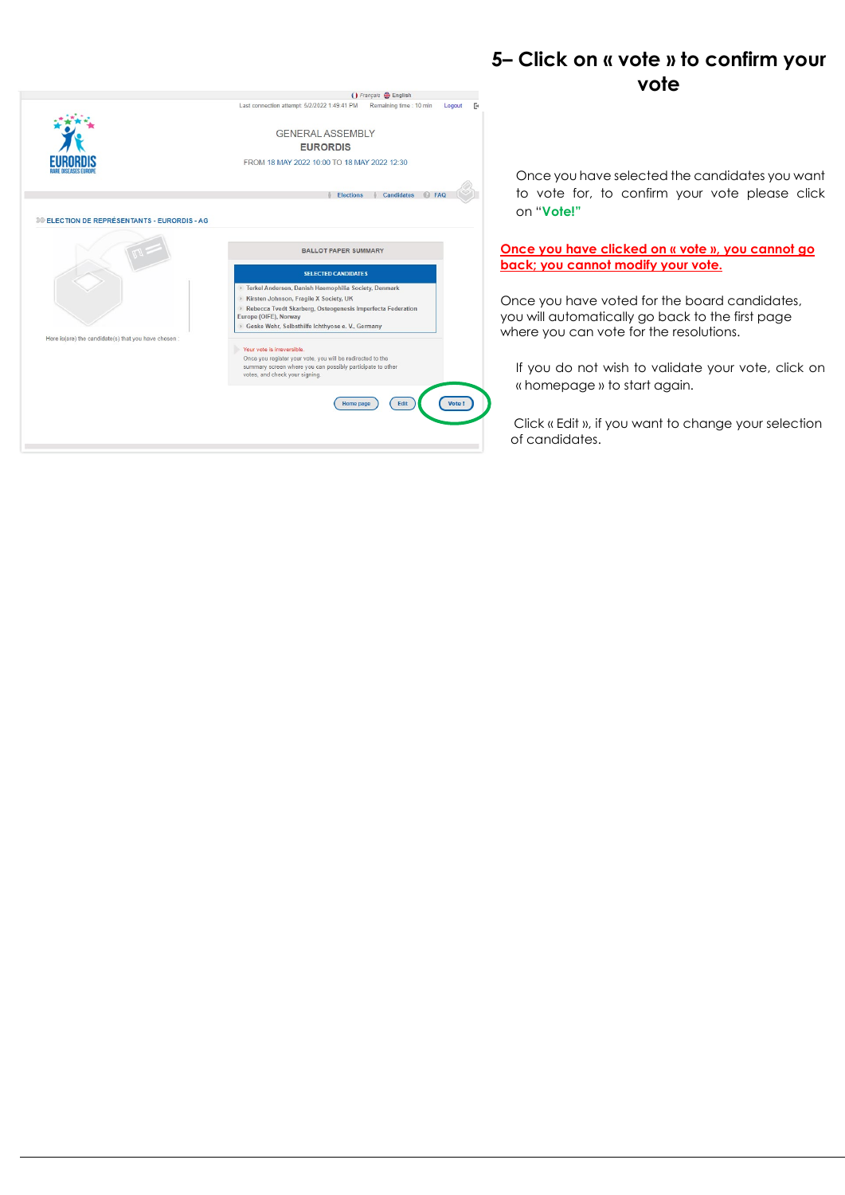

### **5– Click on « vote » to confirm your vote**

Once you have selected the candidates you want to vote for, to confirm your vote please click on "**Vote!"**

#### **Once you have clicked on « vote », you cannot go back; you cannot modify your vote.**

Once you have voted for the board candidates, you will automatically go back to the first page where you can vote for the resolutions.

If you do not wish to validate your vote, click on « homepage » to start again.

Click « Edit », if you want to change your selection of candidates.